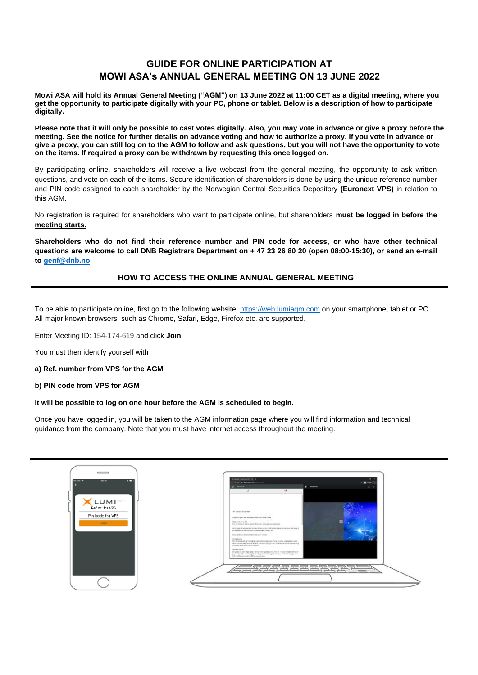# **GUIDE FOR ONLINE PARTICIPATION AT MOWI ASA's ANNUAL GENERAL MEETING ON 13 JUNE 2022**

**Mowi ASA will hold its Annual General Meeting ("AGM") on 13 June 2022 at 11:00 CET as a digital meeting, where you get the opportunity to participate digitally with your PC, phone or tablet. Below is a description of how to participate digitally.**

**Please note that it will only be possible to cast votes digitally. Also, you may vote in advance or give a proxy before the meeting. See the notice for further details on advance voting and how to authorize a proxy. If you vote in advance or give a proxy, you can still log on to the AGM to follow and ask questions, but you will not have the opportunity to vote on the items. If required a proxy can be withdrawn by requesting this once logged on.**

By participating online, shareholders will receive a live webcast from the general meeting, the opportunity to ask written questions, and vote on each of the items. Secure identification of shareholders is done by using the unique reference number and PIN code assigned to each shareholder by the Norwegian Central Securities Depository **(Euronext VPS)** in relation to this AGM.

No registration is required for shareholders who want to participate online, but shareholders **must be logged in before the meeting starts.**

**Shareholders who do not find their reference number and PIN code for access, or who have other technical questions are welcome to call DNB Registrars Department on + 47 23 26 80 20 (open 08:00-15:30), or send an e-mail to [genf@dnb.no](mailto:genf@dnb.no)**

## **HOW TO ACCESS THE ONLINE ANNUAL GENERAL MEETING**

To be able to participate online, first go to the following website: [https://web.lumiagm.com](https://web.lumiagm.com/) on your smartphone, tablet or PC. All major known browsers, such as Chrome, Safari, Edge, Firefox etc. are supported.

Enter Meeting ID: 154-174-619 and click **Join**:

You must then identify yourself with

#### **a) Ref. number from VPS for the AGM**

#### **b) PIN code from VPS for AGM**

#### **It will be possible to log on one hour before the AGM is scheduled to begin.**

Once you have logged in, you will be taken to the AGM information page where you will find information and technical guidance from the company. Note that you must have internet access throughout the meeting.